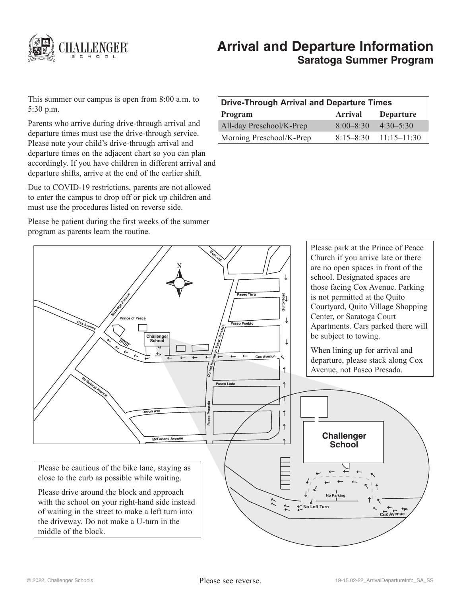

# **Arrival and Departure Information Saratoga Summer Program**

This summer our campus is open from 8:00 a.m. to 5:30 p.m.

Parents who arrive during drive-through arrival and departure times must use the drive-through service. Please note your child's drive-through arrival and departure times on the adjacent chart so you can plan accordingly. If you have children in different arrival and departure shifts, arrive at the end of the earlier shift.

Due to COVID-19 restrictions, parents are not allowed to enter the campus to drop off or pick up children and must use the procedures listed on reverse side.

Please be patient during the first weeks of the summer program as parents learn the routine.

| Drive-Through Arrival and Departure Times |               |                           |
|-------------------------------------------|---------------|---------------------------|
| Program                                   | Arrival       | <b>Departure</b>          |
| All-day Preschool/K-Prep                  | $8:00 - 8:30$ | $4:30 - 5:30$             |
| Morning Preschool/K-Prep                  |               | $8:15-8:30$ $11:15-11:30$ |